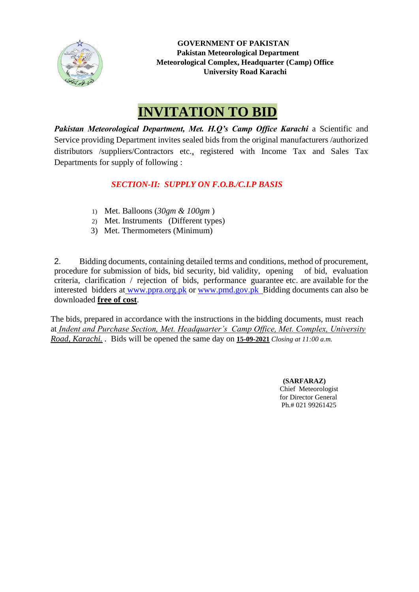

 **GOVERNMENT OF PAKISTAN Pakistan Meteorological Department Meteorological Complex, Headquarter (Camp) Office University Road Karachi**

# **INVITATION TO BID**

Pakistan Meteorological Department, Met. H.Q's Camp Office Karachi a Scientific and Service providing Department invites sealed bids from the original manufacturers /authorized distributors /suppliers/Contractors etc.*,* registered with Income Tax and Sales Tax Departments for supply of following :

# *SECTION-II: SUPPLY ON F.O.B./C.I.P BASIS*

- 1) Met. Balloons (*30gm & 100gm* )
- 2) Met. Instruments (Different types)
- 3) Met. Thermometers (Minimum)

2. Bidding documents, containing detailed terms and conditions, method of procurement, procedure for submission of bids, bid security, bid validity, opening of bid, evaluation criteria, clarification / rejection of bids, performance guarantee etc. are available for the interested bidders at [www.ppra.org.pk](http://www.ppra.org.pk/) or [www.pmd.gov.pk](http://www.pmd.gov.pk/) Bidding documents can also be downloaded **free of cost**.

The bids, prepared in accordance with the instructions in the bidding documents, must reach at *Indent and Purchase Section, Met. Headquarter's Camp Office, Met. Complex, University Road, Karachi. .* Bids will be opened the same day on **15-09-2021** *Closing at 11:00 a.m.*

> **(SARFARAZ)** Chief Meteorologist for Director General Ph.# 021 99261425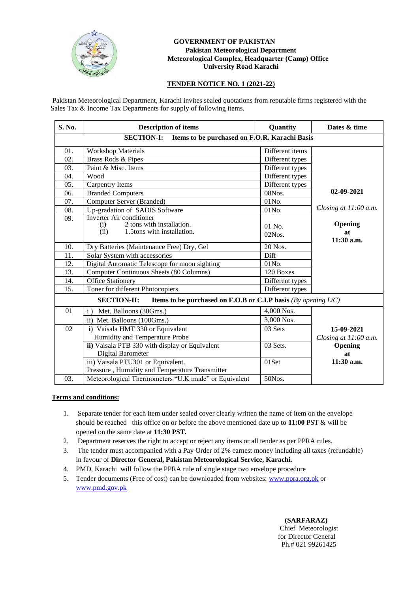

#### **GOVERNMENT OF PAKISTAN Pakistan Meteorological Department Meteorological Complex, Headquarter (Camp) Office University Road Karachi**

### **TENDER NOTICE NO. 1 (2021-22)**

Pakistan Meteorological Department, Karachi invites sealed quotations from reputable firms registered with the Sales Tax & Income Tax Departments for supply of following items.

| S. No.                                                             | <b>Description of items</b>                                                                               | Quantity              | Dates & time                |  |
|--------------------------------------------------------------------|-----------------------------------------------------------------------------------------------------------|-----------------------|-----------------------------|--|
| <b>SECTION-I:</b><br>Items to be purchased on F.O.R. Karachi Basis |                                                                                                           |                       |                             |  |
| 01.                                                                | <b>Workshop Materials</b>                                                                                 | Different items       |                             |  |
| 02.                                                                | Brass Rods & Pipes                                                                                        | Different types       |                             |  |
| 03.                                                                | Paint & Misc. Items                                                                                       | Different types       |                             |  |
| 04.                                                                | Wood                                                                                                      | Different types       |                             |  |
| 05.                                                                | <b>Carpentry Items</b>                                                                                    | Different types       |                             |  |
| 06.                                                                | <b>Branded Computers</b>                                                                                  | 08Nos.                | 02-09-2021                  |  |
| 07.                                                                | Computer Server (Branded)                                                                                 | 01No.                 |                             |  |
| 08.                                                                | Up-gradation of SADIS Software                                                                            | 01No.                 | Closing at 11:00 a.m.       |  |
| 09.                                                                | <b>Inverter Air conditioner</b><br>2 tons with installation.<br>(i)<br>1.5tons with installation.<br>(ii) | $01$ No.<br>$02N$ os. | Opening<br>at<br>11:30 a.m. |  |
| 10.                                                                | Dry Batteries (Maintenance Free) Dry, Gel                                                                 | 20 Nos.               |                             |  |
| 11.                                                                | Solar System with accessories                                                                             | Diff                  |                             |  |
| 12.                                                                | Digital Automatic Telescope for moon sighting                                                             | 01No.                 |                             |  |
| 13.                                                                | Computer Continuous Sheets (80 Columns)                                                                   | 120 Boxes             |                             |  |
| 14.                                                                | <b>Office Stationery</b>                                                                                  | Different types       |                             |  |
| 15.                                                                | Toner for different Photocopiers                                                                          | Different types       |                             |  |
|                                                                    | Items to be purchased on F.O.B or C.I.P basis (By opening $L/C$ )<br><b>SECTION-II:</b>                   |                       |                             |  |
| 01                                                                 | Met. Balloons (30Gms.)<br>$\mathbf{i}$ )                                                                  | 4,000 Nos.            |                             |  |
|                                                                    | ii) Met. Balloons (100Gms.)                                                                               | 3,000 Nos.            |                             |  |
| 02                                                                 | i) Vaisala HMT 330 or Equivalent                                                                          | 03 Sets               | 15-09-2021                  |  |
|                                                                    | Humidity and Temperature Probe                                                                            |                       | Closing at 11:00 a.m.       |  |
|                                                                    | ii) Vaisala PTB 330 with display or Equivalent<br>Digital Barometer                                       | 03 Sets.              | Opening<br>at               |  |
|                                                                    | iii) Vaisala PTU301 or Equivalent.                                                                        | 01Set                 | 11:30 a.m.                  |  |
|                                                                    | Pressure, Humidity and Temperature Transmitter                                                            |                       |                             |  |
| 03.                                                                | Meteorological Thermometers "U.K made" or Equivalent                                                      | 50Nos.                |                             |  |

#### **Terms and conditions:**

- 1. Separate tender for each item under sealed cover clearly written the name of item on the envelope should be reached this office on or before the above mentioned date up to **11:00** PST & will be opened on the same date at **11:30 PST.**
- 2. Department reserves the right to accept or reject any items or all tender as per PPRA rules.
- 3. The tender must accompanied with a Pay Order of 2% earnest money including all taxes (refundable) in favour of **Director General, Pakistan Meteorological Service, Karachi.**
- 4. PMD, Karachi will follow the PPRA rule of single stage two envelope procedure
- 5. Tender documents (Free of cost) can be downloaded from websites: [www.ppra.org.pk](http://www.ppra.org.pk/) or [www.pmd.gov.pk](http://www.pmd.gov.pk/)

 **(SARFARAZ)** Chief Meteorologist for Director General Ph.# 021 99261425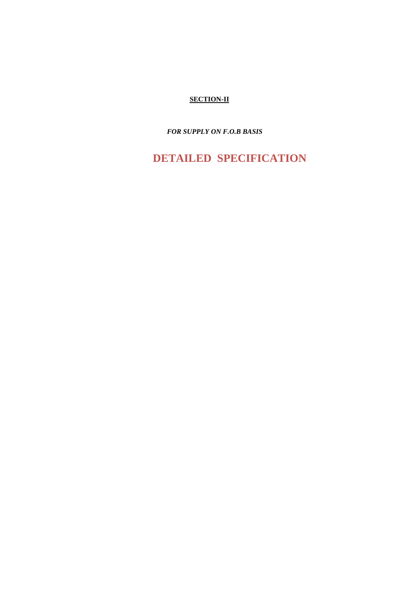## **SECTION-II**

 *FOR SUPPLY ON F.O.B BASIS*

 **DETAILED SPECIFICATION**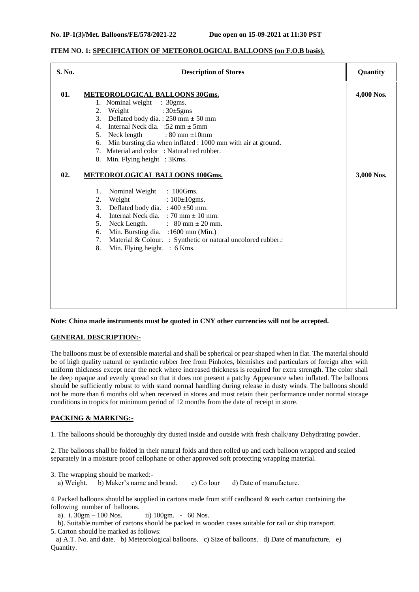#### **ITEM NO. 1: SPECIFICATION OF METEOROLOGICAL BALLOONS (on F.O.B basis).**

| S. No. | <b>Description of Stores</b>                                                                                                                                                                                                                                                                                                                                                        | Quantity   |
|--------|-------------------------------------------------------------------------------------------------------------------------------------------------------------------------------------------------------------------------------------------------------------------------------------------------------------------------------------------------------------------------------------|------------|
| 01.    | <b>METEOROLOGICAL BALLOONS 30Gms.</b>                                                                                                                                                                                                                                                                                                                                               | 4,000 Nos. |
|        | 1. Nominal weight : 30gms.                                                                                                                                                                                                                                                                                                                                                          |            |
|        | 2.<br>Weight<br>: $30\pm5$ gms                                                                                                                                                                                                                                                                                                                                                      |            |
|        | 3. Deflated body dia.: $250 \text{ mm} \pm 50 \text{ mm}$                                                                                                                                                                                                                                                                                                                           |            |
|        | Internal Neck dia. :52 mm $\pm$ 5mm<br>4.                                                                                                                                                                                                                                                                                                                                           |            |
|        | 5. Neck length : $80 \text{ mm} \pm 10 \text{ mm}$                                                                                                                                                                                                                                                                                                                                  |            |
|        | Min bursting dia when inflated : 1000 mm with air at ground.<br>6.                                                                                                                                                                                                                                                                                                                  |            |
|        | 7. Material and color: Natural red rubber.                                                                                                                                                                                                                                                                                                                                          |            |
|        | 8. Min. Flying height : 3Kms.                                                                                                                                                                                                                                                                                                                                                       |            |
| 02.    | <b>METEOROLOGICAL BALLOONS 100Gms.</b>                                                                                                                                                                                                                                                                                                                                              | 3,000 Nos. |
|        | Nominal Weight : 100Gms.<br>1.<br>$: 100 \pm 10$ gms.<br>2.<br>Weight<br>Deflated body dia. : $400 \pm 50$ mm.<br>3.<br>Internal Neck dia. : 70 mm $\pm$ 10 mm.<br>4.<br>Neck Length. $\therefore$ 80 mm $\pm$ 20 mm.<br>5.<br>Min. Bursting dia. :1600 mm (Min.)<br>6.<br>Material & Colour. : Synthetic or natural uncolored rubber.:<br>7.<br>8.<br>Min. Flying height. : 6 Kms. |            |

**Note: China made instruments must be quoted in CNY other currencies will not be accepted.**

#### **GENERAL DESCRIPTION:-**

The balloons must be of extensible material and shall be spherical or pear shaped when in flat. The material should be of high quality natural or synthetic rubber free from Pinholes, blemishes and particulars of foreign after with uniform thickness except near the neck where increased thickness is required for extra strength. The color shall be deep opaque and evenly spread so that it does not present a patchy Appearance when inflated. The balloons should be sufficiently robust to with stand normal handling during release in dusty winds. The balloons should not be more than 6 months old when received in stores and must retain their performance under normal storage conditions in tropics for minimum period of 12 months from the date of receipt in store.

#### **PACKING & MARKING:-**

1. The balloons should be thoroughly dry dusted inside and outside with fresh chalk/any Dehydrating powder.

2. The balloons shall be folded in their natural folds and then rolled up and each balloon wrapped and sealed separately in a moisture proof cellophane or other approved soft protecting wrapping material.

3. The wrapping should be marked: a) Weight. b) Maker's name and brand. c) Co lour d) Date of manufacture.

4. Packed balloons should be supplied in cartons made from stiff cardboard & each carton containing the following number of balloons.

a). i.  $30gm - 100$  Nos. ii)  $100gm. - 60$  Nos.

 b). Suitable number of cartons should be packed in wooden cases suitable for rail or ship transport. 5. Carton should be marked as follows:

 a) A.T. No. and date. b) Meteorological balloons. c) Size of balloons. d) Date of manufacture. e) Quantity.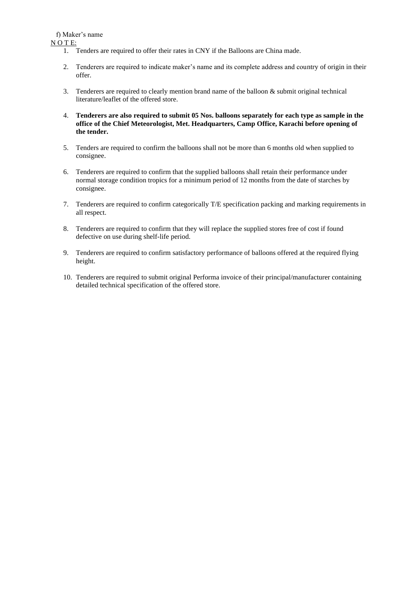f) Maker's name

N O T E:

- 1. Tenders are required to offer their rates in CNY if the Balloons are China made.
- 2. Tenderers are required to indicate maker's name and its complete address and country of origin in their offer.
- 3. Tenderers are required to clearly mention brand name of the balloon & submit original technical literature/leaflet of the offered store.
- 4. **Tenderers are also required to submit 05 Nos. balloons separately for each type as sample in the office of the Chief Meteorologist, Met. Headquarters, Camp Office, Karachi before opening of the tender.**
- 5. Tenders are required to confirm the balloons shall not be more than 6 months old when supplied to consignee.
- 6. Tenderers are required to confirm that the supplied balloons shall retain their performance under normal storage condition tropics for a minimum period of 12 months from the date of starches by consignee.
- 7. Tenderers are required to confirm categorically T/E specification packing and marking requirements in all respect.
- 8. Tenderers are required to confirm that they will replace the supplied stores free of cost if found defective on use during shelf-life period.
- 9. Tenderers are required to confirm satisfactory performance of balloons offered at the required flying height.
- 10. Tenderers are required to submit original Performa invoice of their principal/manufacturer containing detailed technical specification of the offered store.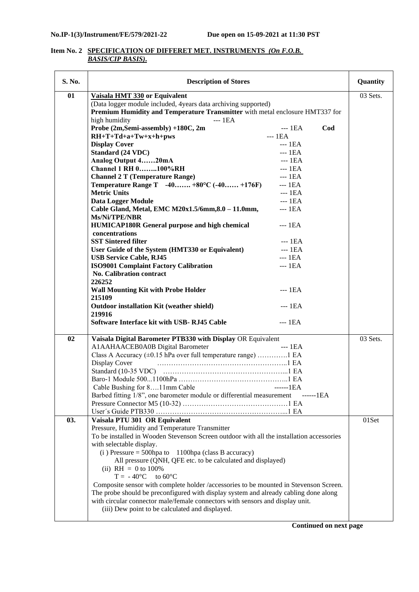#### **Item No. 2 SPECIFICATION OF DIFFERET MET. INSTRUMENTS** *(On F.O.B. BASIS/CIP BASIS)***.**

| S. No. | <b>Description of Stores</b>                                                             | Quantity |  |
|--------|------------------------------------------------------------------------------------------|----------|--|
| 01     | Vaisala HMT 330 or Equivalent                                                            | 03 Sets. |  |
|        | (Data logger module included, 4 years data archiving supported)                          |          |  |
|        | Premium Humidity and Temperature Transmitter with metal enclosure HMT337 for             |          |  |
|        | high humidity<br>$--$ 1EA                                                                |          |  |
|        | Probe (2m, Semi-assembly) +180C, 2m<br>Cod<br>$--$ 1EA                                   |          |  |
|        | $-- 1EA$<br>$RH+T+Td+a+Tw+x+h+pws$                                                       |          |  |
|        | <b>Display Cover</b><br>$--$ 1EA                                                         |          |  |
|        | Standard (24 VDC)<br>$--$ 1EA                                                            |          |  |
|        | Analog Output 420mA<br>$--$ 1EA                                                          |          |  |
|        | <b>Channel 1 RH 0100%RH</b><br>$--$ 1EA                                                  |          |  |
|        | <b>Channel 2 T (Temperature Range)</b><br>$--$ 1EA                                       |          |  |
|        | <b>Temperature Range T</b> $-40$ $+80^{\circ}$ C $(-40$ $+176$ F)<br>$--$ 1EA            |          |  |
|        | <b>Metric Units</b><br>$--1EA$                                                           |          |  |
|        | Data Logger Module<br>$--$ 1EA                                                           |          |  |
|        | Cable Gland, Metal, EMC M20x1.5/6mm, 8.0 - 11.0mm,<br>$--$ 1EA                           |          |  |
|        | Ms/Ni/TPE/NBR                                                                            |          |  |
|        | <b>HUMICAP180R General purpose and high chemical</b><br>$--$ 1EA                         |          |  |
|        | concentrations                                                                           |          |  |
|        | <b>SST Sintered filter</b><br>$--1EA$                                                    |          |  |
|        | User Guide of the System (HMT330 or Equivalent)<br>$--- 1EA$                             |          |  |
|        | <b>USB Service Cable, RJ45</b><br>$---$ 1EA                                              |          |  |
|        | <b>ISO9001 Complaint Factory Calibration</b><br>$--$ 1EA                                 |          |  |
|        | <b>No. Calibration contract</b>                                                          |          |  |
|        | 226252                                                                                   |          |  |
|        | $---$ 1EA<br><b>Wall Mounting Kit with Probe Holder</b>                                  |          |  |
|        | 215109                                                                                   |          |  |
|        | <b>Outdoor installation Kit (weather shield)</b><br>$--$ 1EA                             |          |  |
|        | 219916                                                                                   |          |  |
|        | Software Interface kit with USB-RJ45 Cable<br>$--$ 1EA                                   |          |  |
| 02     | Vaisala Digital Barometer PTB330 with Display OR Equivalent                              | 03 Sets. |  |
|        | A1AAHAACEB0A0B Digital Barometer<br>$---$ 1EA                                            |          |  |
|        | Class A Accuracy (±0.15 hPa over full temperature range) 1 EA                            |          |  |
|        | Display Cover                                                                            |          |  |
|        |                                                                                          |          |  |
|        |                                                                                          |          |  |
|        | Cable Bushing for 811mm Cable<br>$---1EA$                                                |          |  |
|        | Barbed fitting 1/8", one barometer module or differential measurement<br>------1EA       |          |  |
|        |                                                                                          |          |  |
|        |                                                                                          |          |  |
| 03.    | Vaisala PTU 301 OR Equivalent                                                            | 01Set    |  |
|        | Pressure, Humidity and Temperature Transmitter                                           |          |  |
|        | To be installed in Wooden Stevenson Screen outdoor with all the installation accessories |          |  |
|        | with selectable display.                                                                 |          |  |
|        | $(i)$ Pressure = 500hpa to 1100hpa (class B accuracy)                                    |          |  |
|        | All pressure (QNH, QFE etc. to be calculated and displayed)                              |          |  |
|        | (ii) $RH = 0$ to 100%                                                                    |          |  |
|        | $T = -40^{\circ}C$ to 60°C                                                               |          |  |
|        | Composite sensor with complete holder /accessories to be mounted in Stevenson Screen.    |          |  |
|        | The probe should be preconfigured with display system and already cabling done along     |          |  |
|        | with circular connector male/female connectors with sensors and display unit.            |          |  |
|        | (iii) Dew point to be calculated and displayed.                                          |          |  |
|        |                                                                                          |          |  |

 **Continued on next page**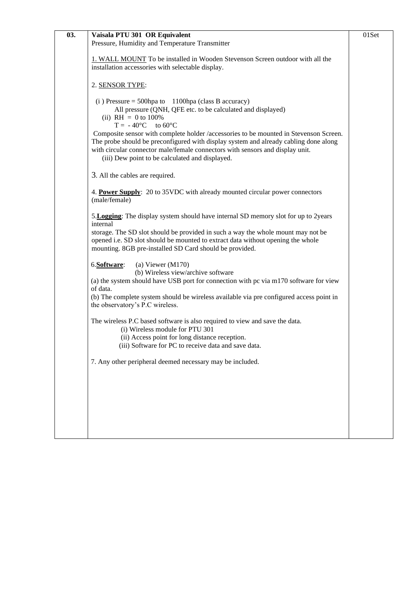| 03. | Vaisala PTU 301 OR Equivalent                                                                                                                                                                                                                                                                                                                                                                                                                                                                     | 01Set |
|-----|---------------------------------------------------------------------------------------------------------------------------------------------------------------------------------------------------------------------------------------------------------------------------------------------------------------------------------------------------------------------------------------------------------------------------------------------------------------------------------------------------|-------|
|     | Pressure, Humidity and Temperature Transmitter                                                                                                                                                                                                                                                                                                                                                                                                                                                    |       |
|     | 1. WALL MOUNT To be installed in Wooden Stevenson Screen outdoor with all the<br>installation accessories with selectable display.                                                                                                                                                                                                                                                                                                                                                                |       |
|     | 2. SENSOR TYPE:                                                                                                                                                                                                                                                                                                                                                                                                                                                                                   |       |
|     | $(i)$ Pressure = 500hpa to 1100hpa (class B accuracy)<br>All pressure (QNH, QFE etc. to be calculated and displayed)<br>(ii) RH = 0 to $100\%$<br>$T = -40^{\circ}C$ to 60°C<br>Composite sensor with complete holder /accessories to be mounted in Stevenson Screen.<br>The probe should be preconfigured with display system and already cabling done along<br>with circular connector male/female connectors with sensors and display unit.<br>(iii) Dew point to be calculated and displayed. |       |
|     | 3. All the cables are required.                                                                                                                                                                                                                                                                                                                                                                                                                                                                   |       |
|     | 4. Power Supply: 20 to 35 VDC with already mounted circular power connectors<br>(male/female)                                                                                                                                                                                                                                                                                                                                                                                                     |       |
|     | 5. Logging: The display system should have internal SD memory slot for up to 2years<br>internal<br>storage. The SD slot should be provided in such a way the whole mount may not be<br>opened i.e. SD slot should be mounted to extract data without opening the whole<br>mounting. 8GB pre-installed SD Card should be provided.                                                                                                                                                                 |       |
|     | (a) Viewer $(M170)$<br>6.Software:<br>(b) Wireless view/archive software<br>(a) the system should have USB port for connection with pc via m170 software for view<br>of data.<br>(b) The complete system should be wireless available via pre configured access point in<br>the observatory's P.C wireless.                                                                                                                                                                                       |       |
|     | The wireless P.C based software is also required to view and save the data.<br>(i) Wireless module for PTU 301<br>(ii) Access point for long distance reception.<br>(iii) Software for PC to receive data and save data                                                                                                                                                                                                                                                                           |       |
|     | 7. Any other peripheral deemed necessary may be included.                                                                                                                                                                                                                                                                                                                                                                                                                                         |       |
|     |                                                                                                                                                                                                                                                                                                                                                                                                                                                                                                   |       |
|     |                                                                                                                                                                                                                                                                                                                                                                                                                                                                                                   |       |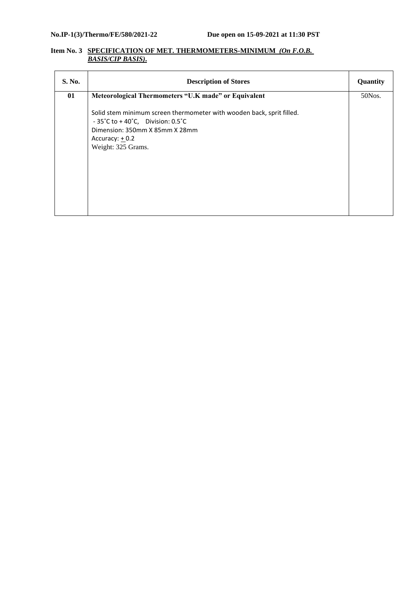#### **Item No. 3 SPECIFICATION OF MET. THERMOMETERS-MINIMUM** *(On F.O.B. BASIS/CIP BASIS)***.**

| S. No. | <b>Description of Stores</b>                                                                                                                                                                                          | Quantity |
|--------|-----------------------------------------------------------------------------------------------------------------------------------------------------------------------------------------------------------------------|----------|
| 01     | Meteorological Thermometers "U.K made" or Equivalent                                                                                                                                                                  | 50Nos.   |
|        | Solid stem minimum screen thermometer with wooden back, sprit filled.<br>$-35^{\circ}$ C to + 40 $^{\circ}$ C, Division: 0.5 $^{\circ}$ C<br>Dimension: 350mm X 85mm X 28mm<br>Accuracy: $+0.2$<br>Weight: 325 Grams. |          |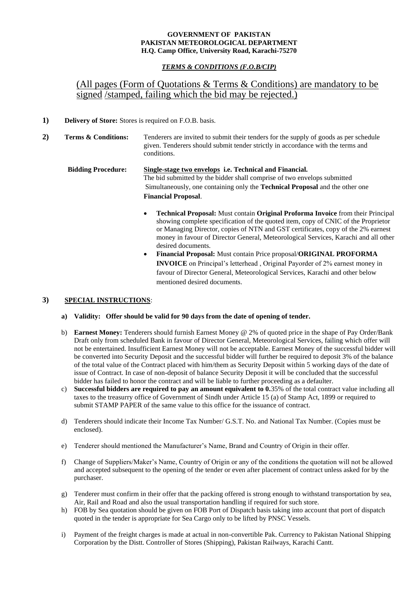#### **GOVERNMENT OF PAKISTAN PAKISTAN METEOROLOGICAL DEPARTMENT H.Q. Camp Office, University Road, Karachi-75270**

### *TERMS & CONDITIONS (F.O.B/CIP)*

# (All pages (Form of Quotations & Terms & Conditions) are mandatory to be signed *stamped*, failing which the bid may be rejected.)

- **1) Delivery of Store:** Stores is required on F.O.B. basis.
- **2) Terms & Conditions:** Tenderers are invited to submit their tenders for the supply of goods as per schedule given. Tenderers should submit tender strictly in accordance with the terms and conditions.
	- **Bidding Procedure: Single-stage two envelops i.e. Technical and Financial.** The bid submitted by the bidder shall comprise of two envelops submitted Simultaneously, one containing only the **Technical Proposal** and the other one **Financial Proposal**.
		- **Technical Proposal:** Must contain **Original Proforma Invoice** from their Principal showing complete specification of the quoted item, copy of CNIC of the Proprietor or Managing Director, copies of NTN and GST certificates, copy of the 2% earnest money in favour of Director General, Meteorological Services, Karachi and all other desired documents.
		- **Financial Proposal:** Must contain Price proposal/**ORIGINAL PROFORMA INVOICE** on Principal's letterhead , Original Payorder of 2% earnest money in favour of Director General, Meteorological Services, Karachi and other below mentioned desired documents.

#### **3) SPECIAL INSTRUCTIONS**:

- **a) Validity: Offer should be valid for 90 days from the date of opening of tender.**
- b) **Earnest Money:** Tenderers should furnish Earnest Money @ 2% of quoted price in the shape of Pay Order/Bank Draft only from scheduled Bank in favour of Director General, Meteorological Services, failing which offer will not be entertained. Insufficient Earnest Money will not be acceptable. Earnest Money of the successful bidder will be converted into Security Deposit and the successful bidder will further be required to deposit 3% of the balance of the total value of the Contract placed with him/them as Security Deposit within 5 working days of the date of issue of Contract. In case of non-deposit of balance Security Deposit it will be concluded that the successful bidder has failed to honor the contract and will be liable to further proceeding as a defaulter.
- c) **Successful bidders are required to pay an amount equivalent to 0.**35% of the total contract value including all taxes to the treasurry office of Government of Sindh under Article 15 (a) of Stamp Act, 1899 or required to submit STAMP PAPER of the same value to this office for the issuance of contract.
- d) Tenderers should indicate their Income Tax Number/ G.S.T. No. and National Tax Number. (Copies must be enclosed).
- e) Tenderer should mentioned the Manufacturer's Name, Brand and Country of Origin in their offer.
- f) Change of Suppliers/Maker's Name, Country of Origin or any of the conditions the quotation will not be allowed and accepted subsequent to the opening of the tender or even after placement of contract unless asked for by the purchaser.
- g) Tenderer must confirm in their offer that the packing offered is strong enough to withstand transportation by sea, Air, Rail and Road and also the usual transportation handling if required for such store.
- h) FOB by Sea quotation should be given on FOB Port of Dispatch basis taking into account that port of dispatch quoted in the tender is appropriate for Sea Cargo only to be lifted by PNSC Vessels.
- i) Payment of the freight charges is made at actual in non-convertible Pak. Currency to Pakistan National Shipping Corporation by the Distt. Controller of Stores (Shipping), Pakistan Railways, Karachi Cantt.